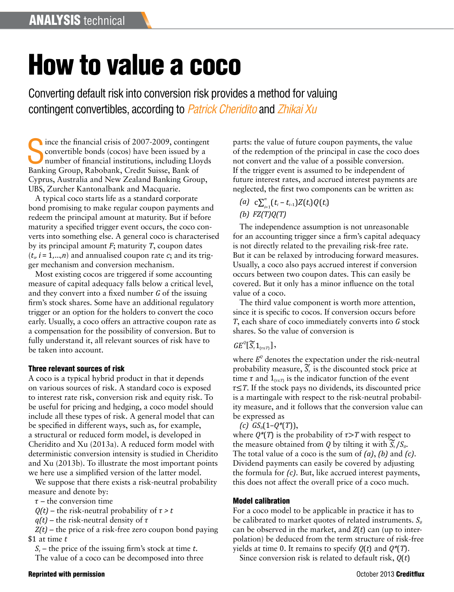# How to value a coco

Converting default risk into conversion risk provides a method for valuing contingent convertibles, according to *Patrick Cheridito* and *Zhikai Xu*

Since the financial crisis of 2007-2009, contingending convertible bonds (cocos) have been issued by number of financial institutions, including Llog<br>Banking Group, Rabobank, Credit Suisse, Bank of ince the financial crisis of 2007-2009, contingent convertible bonds (cocos) have been issued by a number of financial institutions, including Lloyds Cyprus, Australia and New Zealand Banking Group, UBS, Zurcher Kantonalbank and Macquarie.

A typical coco starts life as a standard corporate bond promising to make regular coupon payments and redeem the principal amount at maturity. But if before maturity a specified trigger event occurs, the coco converts into something else. A general coco is characterised by its principal amount *F*; maturity *T*, coupon dates  $(t_i, i = 1, \ldots, n)$  and annualised coupon rate *c*; and its trigger mechanism and conversion mechanism.

Most existing cocos are triggered if some accounting measure of capital adequacy falls below a critical level, and they convert into a fixed number *G* of the issuing firm's stock shares. Some have an additional regulatory trigger or an option for the holders to convert the coco early. Usually, a coco offers an attractive coupon rate as a compensation for the possibility of conversion. But to fully understand it, all relevant sources of risk have to be taken into account.

## Three relevant sources of risk

A coco is a typical hybrid product in that it depends on various sources of risk. A standard coco is exposed to interest rate risk, conversion risk and equity risk. To be useful for pricing and hedging, a coco model should include all these types of risk. A general model that can be specified in different ways, such as, for example, a structural or reduced form model, is developed in Cheridito and Xu (2013a). A reduced form model with deterministic conversion intensity is studied in Cheridito and Xu (2013b). To illustrate the most important points we here use a simplified version of the latter model.

We suppose that there exists a risk-neutral probability measure and denote by:

 $\tau$  – the conversion time

 $Q(t)$  – the risk-neutral probability of  $\tau > t$ 

 $q(t)$  – the risk-neutral density of  $\tau$ 

*Z(t)* – the price of a risk-free zero coupon bond paying \$1 at time *t*

*St* – the price of the issuing firm's stock at time *t*.

The value of a coco can be decomposed into three

parts: the value of future coupon payments, the value of the redemption of the principal in case the coco does not convert and the value of a possible conversion. If the trigger event is assumed to be independent of future interest rates, and accrued interest payments are neglected, the first two components can be written as:

 $(a)$   $c\sum_{i=1}^{n} (t_i - t_{i-1})Z(t_i)Q(t_i)$ *(b) FZ(T)Q(T)*

The independence assumption is not unreasonable for an accounting trigger since a firm's capital adequacy is not directly related to the prevailing risk-free rate. But it can be relaxed by introducing forward measures. Usually, a coco also pays accrued interest if conversion occurs between two coupon dates. This can easily be covered. But it only has a minor influence on the total value of a coco.

The third value component is worth more attention, since it is specific to cocos. If conversion occurs before *T*, each share of coco immediately converts into *G* stock shares. So the value of conversion is

# $GE^{q}[\widetilde{S}_r1_{\{\tau\leq T\}}],$

where  $E^Q$  denotes the expectation under the risk-neutral probability measure,  $\widetilde{S}_r$  is the discounted stock price at time  $\tau$  and  $1_{\{\tau \leq \tau\}}$  is the indicator function of the event  $\tau \leq T$ . If the stock pays no dividends, its discounted price is a martingale with respect to the risk-neutral probability measure, and it follows that the conversion value can be expressed as

 $(c)$   $GS_{0}(1-Q^{*}(T)),$ 

where  $Q^*(T)$  is the probability of  $\tau > T$  with respect to the measure obtained from *Q* by tilting it with  $\widetilde{S}_r/S_o$ . The total value of a coco is the sum of *(a)*, *(b)* and *(c)*. Dividend payments can easily be covered by adjusting the formula for *(c)*. But, like accrued interest payments, this does not affect the overall price of a coco much.

# Model calibration

For a coco model to be applicable in practice it has to be calibrated to market quotes of related instruments.  $S_a$ can be observed in the market, and *Z*(*t*) can (up to interpolation) be deduced from the term structure of risk-free yields at time 0. It remains to specify *Q*(*t*) and *Q\**(*T*).

Since conversion risk is related to default risk, *Q*(*t*)